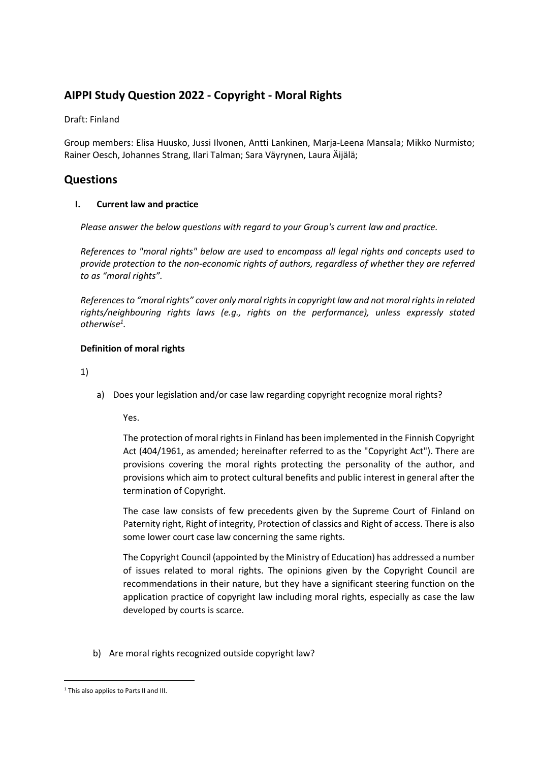# **AIPPI Study Question 2022 - Copyright - Moral Rights**

# Draft: Finland

Group members: Elisa Huusko, Jussi Ilvonen, Antti Lankinen, Marja-Leena Mansala; Mikko Nurmisto; Rainer Oesch, Johannes Strang, Ilari Talman; Sara Väyrynen, Laura Äijälä;

# **Questions**

# **I. Current law and practice**

*Please answer the below questions with regard to your Group's current law and practice.* 

*References to "moral rights" below are used to encompass all legal rights and concepts used to provide protection to the non-economic rights of authors, regardless of whether they are referred to as "moral rights".* 

*References to "moral rights" cover only moral rights in copyright law and not moral rights in related rights/neighbouring rights laws (e.g., rights on the performance), unless expressly stated otherwise<sup>1</sup> [.](#page-0-0)* 

# **Definition of moral rights**

1)

a) Does your legislation and/or case law regarding copyright recognize moral rights?

Yes.

The protection of moral rights in Finland has been implemented in the Finnish Copyright Act (404/1961, as amended; hereinafter referred to as the "Copyright Act"). There are provisions covering the moral rights protecting the personality of the author, and provisions which aim to protect cultural benefits and public interest in general after the termination of Copyright.

The case law consists of few precedents given by the Supreme Court of Finland on Paternity right, Right of integrity, Protection of classics and Right of access. There is also some lower court case law concerning the same rights.

The Copyright Council (appointed by the Ministry of Education) has addressed a number of issues related to moral rights. The opinions given by the Copyright Council are recommendations in their nature, but they have a significant steering function on the application practice of copyright law including moral rights, especially as case the law developed by courts is scarce.

b) Are moral rights recognized outside copyright law?

<span id="page-0-0"></span><sup>&</sup>lt;sup>1</sup> This also applies to Parts II and III.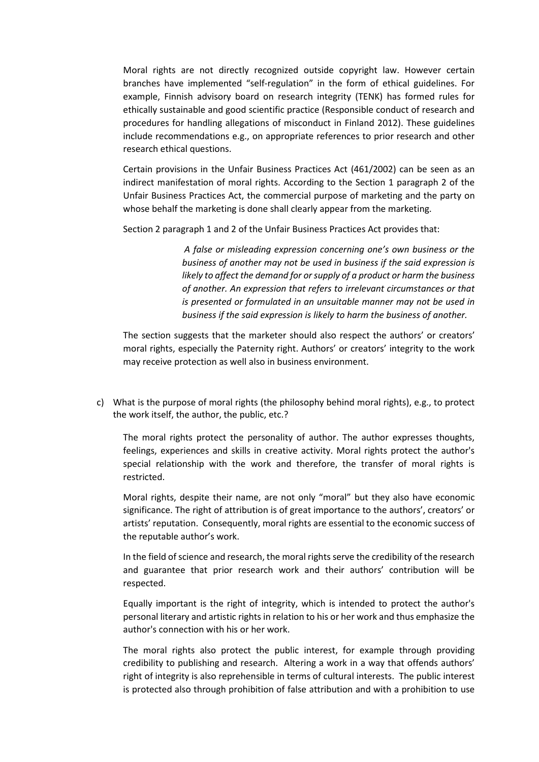Moral rights are not directly recognized outside copyright law. However certain branches have implemented "self-regulation" in the form of ethical guidelines. For example, Finnish advisory board on research integrity (TENK) has formed rules for ethically sustainable and good scientific practice (Responsible conduct of research and procedures for handling allegations of misconduct in Finland 2012). These guidelines include recommendations e.g., on appropriate references to prior research and other research ethical questions.

Certain provisions in the Unfair Business Practices Act (461/2002) can be seen as an indirect manifestation of moral rights. According to the Section 1 paragraph 2 of the Unfair Business Practices Act, the commercial purpose of marketing and the party on whose behalf the marketing is done shall clearly appear from the marketing.

Section 2 paragraph 1 and 2 of the Unfair Business Practices Act provides that:

*A false or misleading expression concerning one's own business or the business of another may not be used in business if the said expression is likely to affect the demand for or supply of a product or harm the business of another. An expression that refers to irrelevant circumstances or that is presented or formulated in an unsuitable manner may not be used in business if the said expression is likely to harm the business of another.* 

The section suggests that the marketer should also respect the authors' or creators' moral rights, especially the Paternity right. Authors' or creators' integrity to the work may receive protection as well also in business environment.

c) What is the purpose of moral rights (the philosophy behind moral rights), e.g., to protect the work itself, the author, the public, etc.?

The moral rights protect the personality of author. The author expresses thoughts, feelings, experiences and skills in creative activity. Moral rights protect the author's special relationship with the work and therefore, the transfer of moral rights is restricted.

Moral rights, despite their name, are not only "moral" but they also have economic significance. The right of attribution is of great importance to the authors', creators' or artists' reputation. Consequently, moral rights are essential to the economic success of the reputable author's work.

In the field of science and research, the moral rights serve the credibility of the research and guarantee that prior research work and their authors' contribution will be respected.

Equally important is the right of integrity, which is intended to protect the author's personal literary and artistic rights in relation to his or her work and thus emphasize the author's connection with his or her work.

The moral rights also protect the public interest, for example through providing credibility to publishing and research. Altering a work in a way that offends authors' right of integrity is also reprehensible in terms of cultural interests. The public interest is protected also through prohibition of false attribution and with a prohibition to use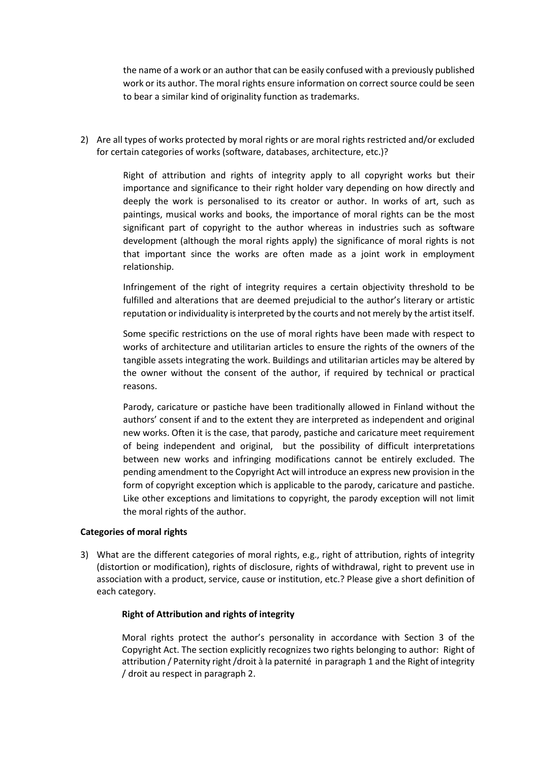the name of a work or an author that can be easily confused with a previously published work or its author. The moral rights ensure information on correct source could be seen to bear a similar kind of originality function as trademarks.

2) Are all types of works protected by moral rights or are moral rights restricted and/or excluded for certain categories of works (software, databases, architecture, etc.)?

> Right of attribution and rights of integrity apply to all copyright works but their importance and significance to their right holder vary depending on how directly and deeply the work is personalised to its creator or author. In works of art, such as paintings, musical works and books, the importance of moral rights can be the most significant part of copyright to the author whereas in industries such as software development (although the moral rights apply) the significance of moral rights is not that important since the works are often made as a joint work in employment relationship.

> Infringement of the right of integrity requires a certain objectivity threshold to be fulfilled and alterations that are deemed prejudicial to the author's literary or artistic reputation or individuality is interpreted by the courts and not merely by the artist itself.

> Some specific restrictions on the use of moral rights have been made with respect to works of architecture and utilitarian articles to ensure the rights of the owners of the tangible assets integrating the work. Buildings and utilitarian articles may be altered by the owner without the consent of the author, if required by technical or practical reasons.

> Parody, caricature or pastiche have been traditionally allowed in Finland without the authors' consent if and to the extent they are interpreted as independent and original new works. Often it is the case, that parody, pastiche and caricature meet requirement of being independent and original, but the possibility of difficult interpretations between new works and infringing modifications cannot be entirely excluded. The pending amendment to the Copyright Act will introduce an express new provision in the form of copyright exception which is applicable to the parody, caricature and pastiche. Like other exceptions and limitations to copyright, the parody exception will not limit the moral rights of the author.

# **Categories of moral rights**

3) What are the different categories of moral rights, e.g., right of attribution, rights of integrity (distortion or modification), rights of disclosure, rights of withdrawal, right to prevent use in association with a product, service, cause or institution, etc.? Please give a short definition of each category.

# **Right of Attribution and rights of integrity**

Moral rights protect the author's personality in accordance with Section 3 of the Copyright Act. The section explicitly recognizes two rights belonging to author: Right of attribution / Paternity right /droit à la paternité in paragraph 1 and the Right of integrity / droit au respect in paragraph 2.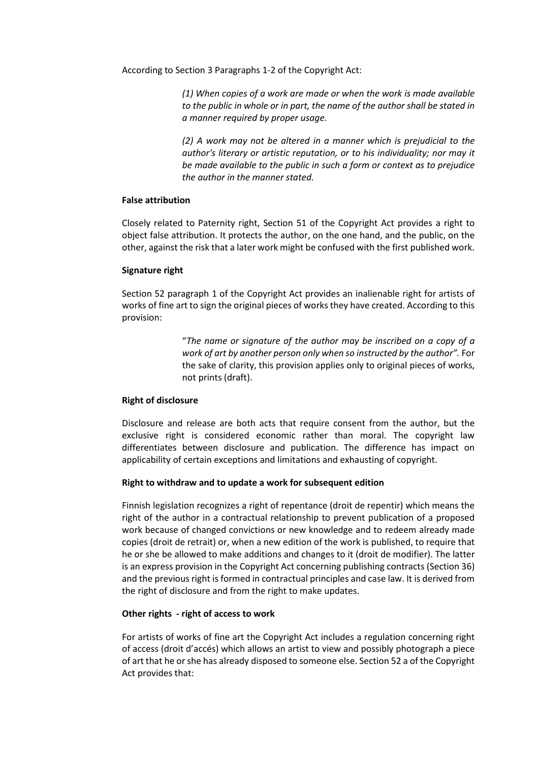According to Section 3 Paragraphs 1-2 of the Copyright Act:

*(1) When copies of a work are made or when the work is made available to the public in whole or in part, the name of the author shall be stated in a manner required by proper usage.* 

*(2) A work may not be altered in a manner which is prejudicial to the author's literary or artistic reputation, or to his individuality; nor may it be made available to the public in such a form or context as to prejudice the author in the manner stated.* 

#### **False attribution**

Closely related to Paternity right, Section 51 of the Copyright Act provides a right to object false attribution. It protects the author, on the one hand, and the public, on the other, against the risk that a later work might be confused with the first published work.

#### **Signature right**

Section 52 paragraph 1 of the Copyright Act provides an inalienable right for artists of works of fine art to sign the original pieces of works they have created. According to this provision:

> "*The name or signature of the author may be inscribed on a copy of a work of art by another person only when so instructed by the author".* For the sake of clarity, this provision applies only to original pieces of works, not prints (draft).

# **Right of disclosure**

Disclosure and release are both acts that require consent from the author, but the exclusive right is considered economic rather than moral. The copyright law differentiates between disclosure and publication. The difference has impact on applicability of certain exceptions and limitations and exhausting of copyright.

# **Right to withdraw and to update a work for subsequent edition**

Finnish legislation recognizes a right of repentance (droit de repentir) which means the right of the author in a contractual relationship to prevent publication of a proposed work because of changed convictions or new knowledge and to redeem already made copies (droit de retrait) or, when a new edition of the work is published, to require that he or she be allowed to make additions and changes to it (droit de modifier). The latter is an express provision in the Copyright Act concerning publishing contracts (Section 36) and the previous right is formed in contractual principles and case law. It is derived from the right of disclosure and from the right to make updates.

#### **Other rights - right of access to work**

For artists of works of fine art the Copyright Act includes a regulation concerning right of access (droit d'accés) which allows an artist to view and possibly photograph a piece of art that he or she has already disposed to someone else. Section 52 a of the Copyright Act provides that: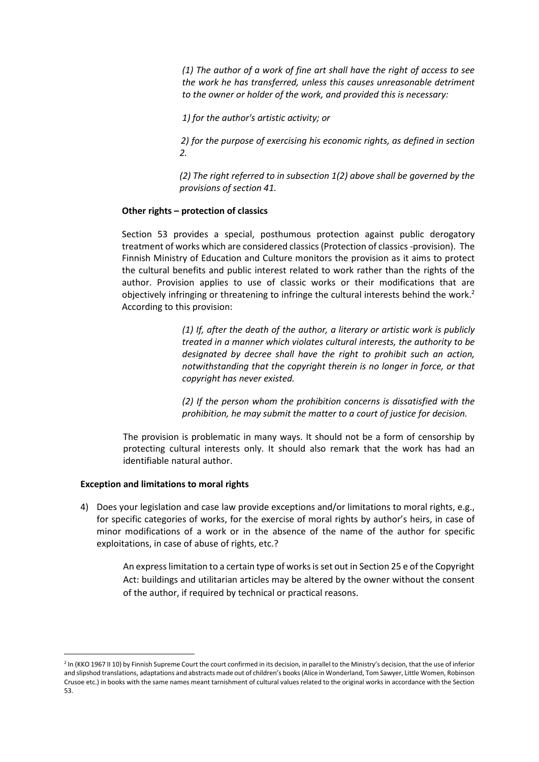*(1) The author of a work of fine art shall have the right of access to see the work he has transferred, unless this causes unreasonable detriment to the owner or holder of the work, and provided this is necessary:* 

*1) for the author's artistic activity; or* 

*2) for the purpose of exercising his economic rights, as defined in section 2.* 

*(2) The right referred to in subsection 1(2) above shall be governed by the provisions of section 41.* 

#### **Other rights – protection of classics**

Section 53 provides a special, posthumous protection against public derogatory treatment of works which are considered classics (Protection of classics -provision). The Finnish Ministry of Education and Culture monitors the provision as it aims to protect the cultural benefits and public interest related to work rather than the rights of the author. Provision applies to use of classic works or their modifications that are objectively infringing or threatening to infringe the cultural interests behind the work.<sup>[2](#page-4-0)</sup> According to this provision:

> *(1) If, after the death of the author, a literary or artistic work is publicly treated in a manner which violates cultural interests, the authority to be designated by decree shall have the right to prohibit such an action, notwithstanding that the copyright therein is no longer in force, or that copyright has never existed.*

> *(2) If the person whom the prohibition concerns is dissatisfied with the prohibition, he may submit the matter to a court of justice for decision.*

The provision is problematic in many ways. It should not be a form of censorship by protecting cultural interests only. It should also remark that the work has had an identifiable natural author.

#### **Exception and limitations to moral rights**

4) Does your legislation and case law provide exceptions and/or limitations to moral rights, e.g., for specific categories of works, for the exercise of moral rights by author's heirs, in case of minor modifications of a work or in the absence of the name of the author for specific exploitations, in case of abuse of rights, etc.?

> An express limitation to a certain type of works is set out in Section 25 e of the Copyright Act: buildings and utilitarian articles may be altered by the owner without the consent of the author, if required by technical or practical reasons.

<span id="page-4-0"></span><sup>&</sup>lt;sup>2</sup> In (KKO 1967 II 10) by Finnish Supreme Court the court confirmed in its decision, in parallel to the Ministry's decision, that the use of inferior and slipshod translations, adaptations and abstracts made out of children's books (Alice in Wonderland, Tom Sawyer, Little Women, Robinson Crusoe etc.) in books with the same names meant tarnishment of cultural values related to the original works in accordance with the Section 53.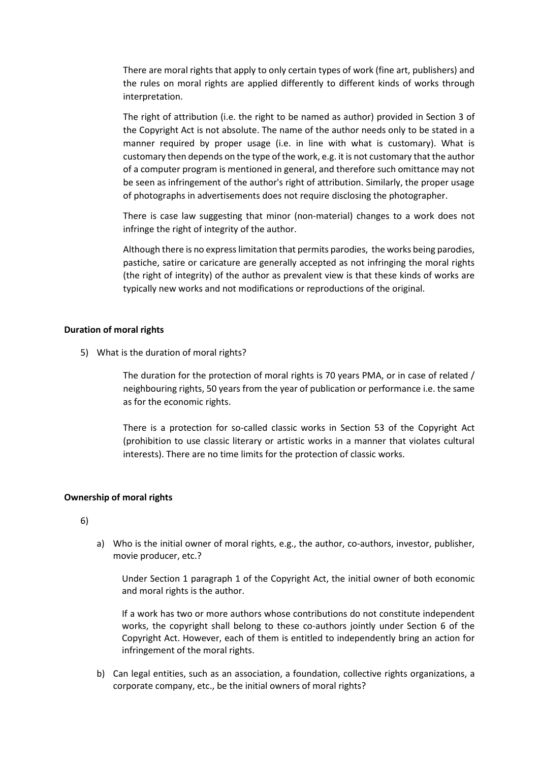There are moral rights that apply to only certain types of work (fine art, publishers) and the rules on moral rights are applied differently to different kinds of works through interpretation.

The right of attribution (i.e. the right to be named as author) provided in Section 3 of the Copyright Act is not absolute. The name of the author needs only to be stated in a manner required by proper usage (i.e. in line with what is customary). What is customary then depends on the type of the work, e.g. it is not customary that the author of a computer program is mentioned in general, and therefore such omittance may not be seen as infringement of the author's right of attribution. Similarly, the proper usage of photographs in advertisements does not require disclosing the photographer.

There is case law suggesting that minor (non-material) changes to a work does not infringe the right of integrity of the author.

Although there is no express limitation that permits parodies, the works being parodies, pastiche, satire or caricature are generally accepted as not infringing the moral rights (the right of integrity) of the author as prevalent view is that these kinds of works are typically new works and not modifications or reproductions of the original.

# **Duration of moral rights**

5) What is the duration of moral rights?

The duration for the protection of moral rights is 70 years PMA, or in case of related / neighbouring rights, 50 years from the year of publication or performance i.e. the same as for the economic rights.

There is a protection for so-called classic works in Section 53 of the Copyright Act (prohibition to use classic literary or artistic works in a manner that violates cultural interests). There are no time limits for the protection of classic works.

#### **Ownership of moral rights**

6)

a) Who is the initial owner of moral rights, e.g., the author, co-authors, investor, publisher, movie producer, etc.?

Under Section 1 paragraph 1 of the Copyright Act, the initial owner of both economic and moral rights is the author.

If a work has two or more authors whose contributions do not constitute independent works, the copyright shall belong to these co-authors jointly under Section 6 of the Copyright Act. However, each of them is entitled to independently bring an action for infringement of the moral rights.

b) Can legal entities, such as an association, a foundation, collective rights organizations, a corporate company, etc., be the initial owners of moral rights?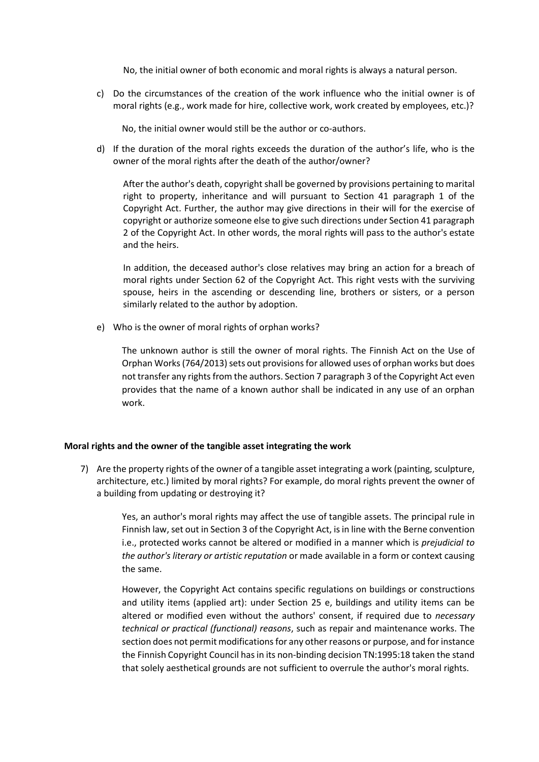No, the initial owner of both economic and moral rights is always a natural person.

c) Do the circumstances of the creation of the work influence who the initial owner is of moral rights (e.g., work made for hire, collective work, work created by employees, etc.)?

No, the initial owner would still be the author or co-authors.

d) If the duration of the moral rights exceeds the duration of the author's life, who is the owner of the moral rights after the death of the author/owner?

After the author's death, copyright shall be governed by provisions pertaining to marital right to property, inheritance and will pursuant to Section 41 paragraph 1 of the Copyright Act. Further, the author may give directions in their will for the exercise of copyright or authorize someone else to give such directions under Section 41 paragraph 2 of the Copyright Act. In other words, the moral rights will pass to the author's estate and the heirs.

In addition, the deceased author's close relatives may bring an action for a breach of moral rights under Section 62 of the Copyright Act. This right vests with the surviving spouse, heirs in the ascending or descending line, brothers or sisters, or a person similarly related to the author by adoption.

e) Who is the owner of moral rights of orphan works?

The unknown author is still the owner of moral rights. The Finnish Act on the Use of Orphan Works (764/2013) sets out provisions for allowed uses of orphan works but does not transfer any rights from the authors. Section 7 paragraph 3 of the Copyright Act even provides that the name of a known author shall be indicated in any use of an orphan work.

#### **Moral rights and the owner of the tangible asset integrating the work**

7) Are the property rights of the owner of a tangible asset integrating a work (painting, sculpture, architecture, etc.) limited by moral rights? For example, do moral rights prevent the owner of a building from updating or destroying it?

> Yes, an author's moral rights may affect the use of tangible assets. The principal rule in Finnish law, set out in Section 3 of the Copyright Act, is in line with the Berne convention i.e., protected works cannot be altered or modified in a manner which is *prejudicial to the author's literary or artistic reputation* or made available in a form or context causing the same.

> However, the Copyright Act contains specific regulations on buildings or constructions and utility items (applied art): under Section 25 e, buildings and utility items can be altered or modified even without the authors' consent, if required due to *necessary technical or practical (functional) reasons*, such as repair and maintenance works. The section does not permit modifications for any other reasons or purpose, and for instance the Finnish Copyright Council has in its non-binding decision TN:1995:18 taken the stand that solely aesthetical grounds are not sufficient to overrule the author's moral rights.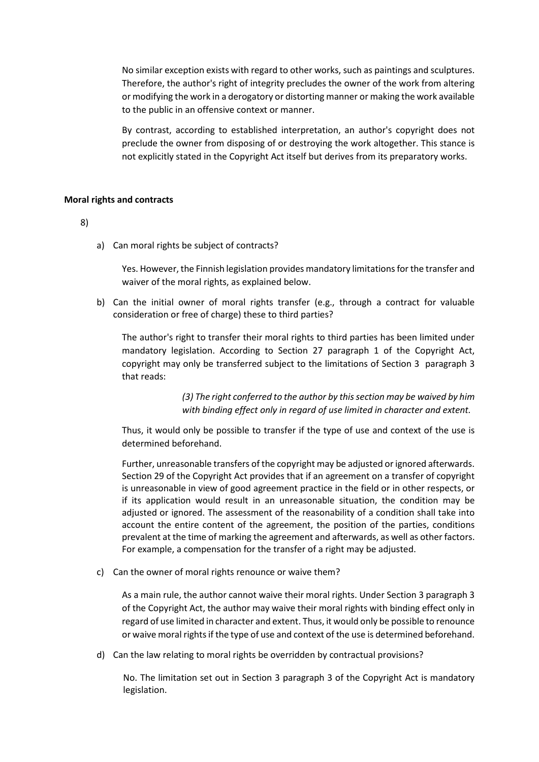No similar exception exists with regard to other works, such as paintings and sculptures. Therefore, the author's right of integrity precludes the owner of the work from altering or modifying the work in a derogatory or distorting manner or making the work available to the public in an offensive context or manner.

By contrast, according to established interpretation, an author's copyright does not preclude the owner from disposing of or destroying the work altogether. This stance is not explicitly stated in the Copyright Act itself but derives from its preparatory works.

# **Moral rights and contracts**

# 8)

a) Can moral rights be subject of contracts?

Yes. However, the Finnish legislation provides mandatory limitations for the transfer and waiver of the moral rights, as explained below.

b) Can the initial owner of moral rights transfer (e.g., through a contract for valuable consideration or free of charge) these to third parties?

The author's right to transfer their moral rights to third parties has been limited under mandatory legislation. According to Section 27 paragraph 1 of the Copyright Act, copyright may only be transferred subject to the limitations of Section 3 paragraph 3 that reads:

> *(3) The right conferred to the author by this section may be waived by him with binding effect only in regard of use limited in character and extent.*

Thus, it would only be possible to transfer if the type of use and context of the use is determined beforehand.

Further, unreasonable transfers of the copyright may be adjusted or ignored afterwards. Section 29 of the Copyright Act provides that if an agreement on a transfer of copyright is unreasonable in view of good agreement practice in the field or in other respects, or if its application would result in an unreasonable situation, the condition may be adjusted or ignored. The assessment of the reasonability of a condition shall take into account the entire content of the agreement, the position of the parties, conditions prevalent at the time of marking the agreement and afterwards, as well as other factors. For example, a compensation for the transfer of a right may be adjusted.

c) Can the owner of moral rights renounce or waive them?

As a main rule, the author cannot waive their moral rights. Under Section 3 paragraph 3 of the Copyright Act, the author may waive their moral rights with binding effect only in regard of use limited in character and extent. Thus, it would only be possible to renounce or waive moral rights if the type of use and context of the use is determined beforehand.

d) Can the law relating to moral rights be overridden by contractual provisions?

No. The limitation set out in Section 3 paragraph 3 of the Copyright Act is mandatory legislation.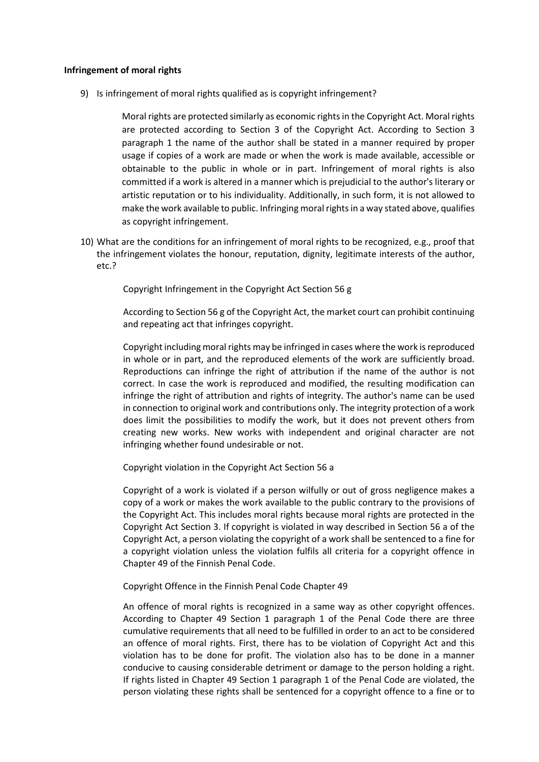#### **Infringement of moral rights**

9) Is infringement of moral rights qualified as is copyright infringement?

Moral rights are protected similarly as economic rights in the Copyright Act. Moral rights are protected according to Section 3 of the Copyright Act. According to Section 3 paragraph 1 the name of the author shall be stated in a manner required by proper usage if copies of a work are made or when the work is made available, accessible or obtainable to the public in whole or in part. Infringement of moral rights is also committed if a work is altered in a manner which is prejudicial to the author's literary or artistic reputation or to his individuality. Additionally, in such form, it is not allowed to make the work available to public. Infringing moral rights in a way stated above, qualifies as copyright infringement.

10) What are the conditions for an infringement of moral rights to be recognized, e.g., proof that the infringement violates the honour, reputation, dignity, legitimate interests of the author, etc.?

Copyright Infringement in the Copyright Act Section 56 g

According to Section 56 g of the Copyright Act, the market court can prohibit continuing and repeating act that infringes copyright.

Copyright including moral rights may be infringed in cases where the work is reproduced in whole or in part, and the reproduced elements of the work are sufficiently broad. Reproductions can infringe the right of attribution if the name of the author is not correct. In case the work is reproduced and modified, the resulting modification can infringe the right of attribution and rights of integrity. The author's name can be used in connection to original work and contributions only. The integrity protection of a work does limit the possibilities to modify the work, but it does not prevent others from creating new works. New works with independent and original character are not infringing whether found undesirable or not.

Copyright violation in the Copyright Act Section 56 a

Copyright of a work is violated if a person wilfully or out of gross negligence makes a copy of a work or makes the work available to the public contrary to the provisions of the Copyright Act. This includes moral rights because moral rights are protected in the Copyright Act Section 3. If copyright is violated in way described in Section 56 a of the Copyright Act, a person violating the copyright of a work shall be sentenced to a fine for a copyright violation unless the violation fulfils all criteria for a copyright offence in Chapter 49 of the Finnish Penal Code.

Copyright Offence in the Finnish Penal Code Chapter 49

An offence of moral rights is recognized in a same way as other copyright offences. According to Chapter 49 Section 1 paragraph 1 of the Penal Code there are three cumulative requirements that all need to be fulfilled in order to an act to be considered an offence of moral rights. First, there has to be violation of Copyright Act and this violation has to be done for profit. The violation also has to be done in a manner conducive to causing considerable detriment or damage to the person holding a right. If rights listed in Chapter 49 Section 1 paragraph 1 of the Penal Code are violated, the person violating these rights shall be sentenced for a copyright offence to a fine or to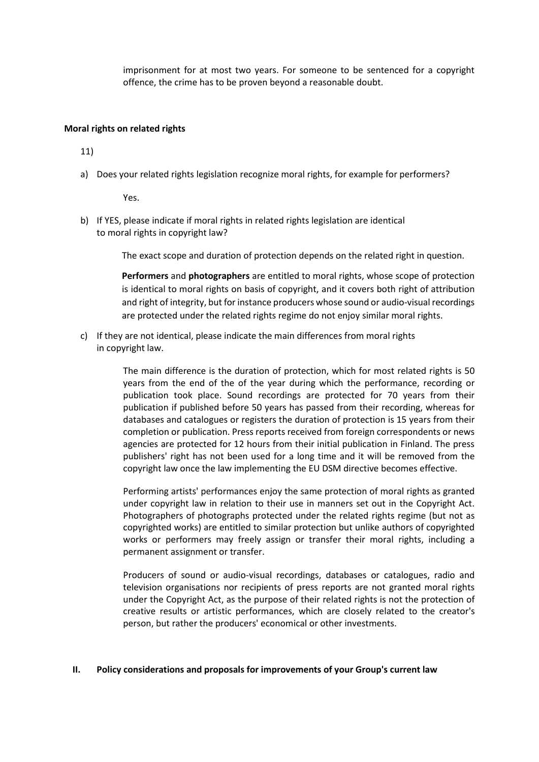imprisonment for at most two years. For someone to be sentenced for a copyright offence, the crime has to be proven beyond a reasonable doubt.

#### **Moral rights on related rights**

11)

a) Does your related rights legislation recognize moral rights, for example for performers?

Yes.

b) If YES, please indicate if moral rights in related rights legislation are identical to moral rights in copyright law?

The exact scope and duration of protection depends on the related right in question.

**Performers** and **photographers** are entitled to moral rights, whose scope of protection is identical to moral rights on basis of copyright, and it covers both right of attribution and right of integrity, but for instance producers whose sound or audio-visual recordings are protected under the related rights regime do not enjoy similar moral rights.

c) If they are not identical, please indicate the main differences from moral rights in copyright law.

> The main difference is the duration of protection, which for most related rights is 50 years from the end of the of the year during which the performance, recording or publication took place. Sound recordings are protected for 70 years from their publication if published before 50 years has passed from their recording, whereas for databases and catalogues or registers the duration of protection is 15 years from their completion or publication. Press reports received from foreign correspondents or news agencies are protected for 12 hours from their initial publication in Finland. The press publishers' right has not been used for a long time and it will be removed from the copyright law once the law implementing the EU DSM directive becomes effective.

> Performing artists' performances enjoy the same protection of moral rights as granted under copyright law in relation to their use in manners set out in the Copyright Act. Photographers of photographs protected under the related rights regime (but not as copyrighted works) are entitled to similar protection but unlike authors of copyrighted works or performers may freely assign or transfer their moral rights, including a permanent assignment or transfer.

> Producers of sound or audio-visual recordings, databases or catalogues, radio and television organisations nor recipients of press reports are not granted moral rights under the Copyright Act, as the purpose of their related rights is not the protection of creative results or artistic performances, which are closely related to the creator's person, but rather the producers' economical or other investments.

# **II. Policy considerations and proposals for improvements of your Group's current law**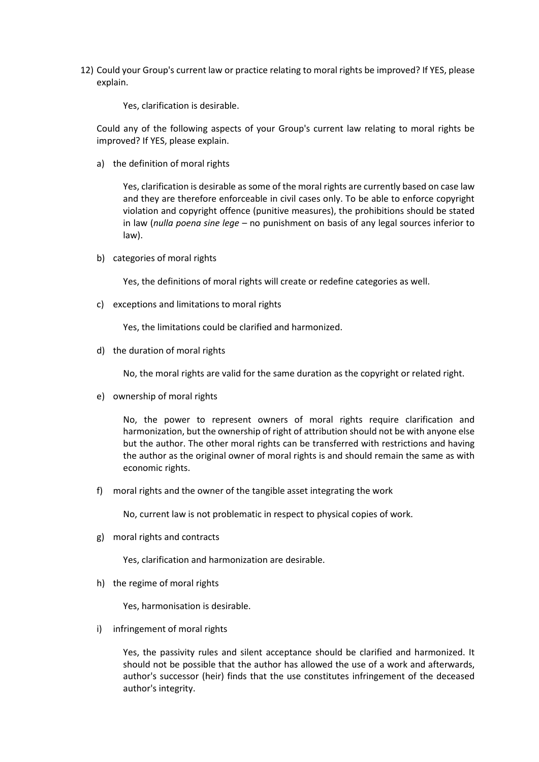12) Could your Group's current law or practice relating to moral rights be improved? If YES, please explain.

Yes, clarification is desirable.

Could any of the following aspects of your Group's current law relating to moral rights be improved? If YES, please explain.

a) the definition of moral rights

Yes, clarification is desirable as some of the moral rights are currently based on case law and they are therefore enforceable in civil cases only. To be able to enforce copyright violation and copyright offence (punitive measures), the prohibitions should be stated in law (*nulla poena sine lege* – no punishment on basis of any legal sources inferior to law).

b) categories of moral rights

Yes, the definitions of moral rights will create or redefine categories as well.

c) exceptions and limitations to moral rights

Yes, the limitations could be clarified and harmonized.

d) the duration of moral rights

No, the moral rights are valid for the same duration as the copyright or related right.

e) ownership of moral rights

No, the power to represent owners of moral rights require clarification and harmonization, but the ownership of right of attribution should not be with anyone else but the author. The other moral rights can be transferred with restrictions and having the author as the original owner of moral rights is and should remain the same as with economic rights.

f) moral rights and the owner of the tangible asset integrating the work

No, current law is not problematic in respect to physical copies of work.

g) moral rights and contracts

Yes, clarification and harmonization are desirable.

h) the regime of moral rights

Yes, harmonisation is desirable.

i) infringement of moral rights

Yes, the passivity rules and silent acceptance should be clarified and harmonized. It should not be possible that the author has allowed the use of a work and afterwards, author's successor (heir) finds that the use constitutes infringement of the deceased author's integrity.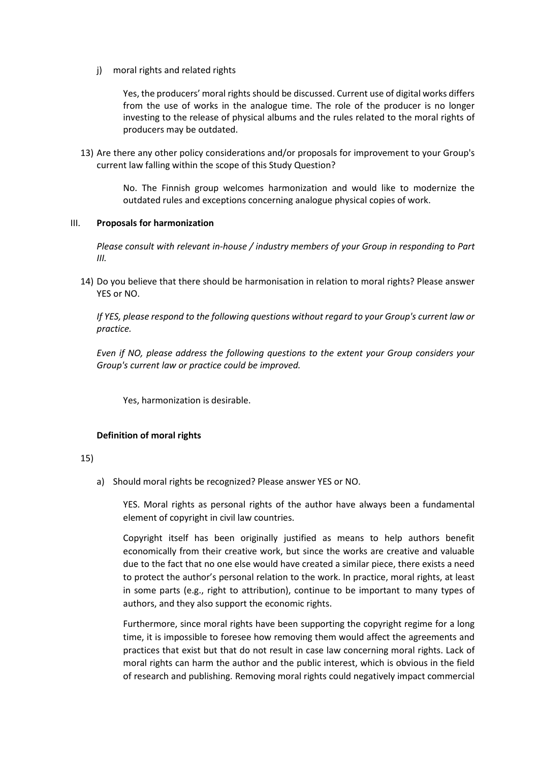j) moral rights and related rights

Yes, the producers' moral rights should be discussed. Current use of digital works differs from the use of works in the analogue time. The role of the producer is no longer investing to the release of physical albums and the rules related to the moral rights of producers may be outdated.

13) Are there any other policy considerations and/or proposals for improvement to your Group's current law falling within the scope of this Study Question?

> No. The Finnish group welcomes harmonization and would like to modernize the outdated rules and exceptions concerning analogue physical copies of work.

# III. **Proposals for harmonization**

*Please consult with relevant in-house / industry members of your Group in responding to Part III.*

14) Do you believe that there should be harmonisation in relation to moral rights? Please answer YES or NO.

*If YES, please respond to the following questions without regard to your Group's current law or practice.* 

*Even if NO, please address the following questions to the extent your Group considers your Group's current law or practice could be improved.* 

Yes, harmonization is desirable.

# **Definition of moral rights**

#### 15)

a) Should moral rights be recognized? Please answer YES or NO.

YES. Moral rights as personal rights of the author have always been a fundamental element of copyright in civil law countries.

Copyright itself has been originally justified as means to help authors benefit economically from their creative work, but since the works are creative and valuable due to the fact that no one else would have created a similar piece, there exists a need to protect the author's personal relation to the work. In practice, moral rights, at least in some parts (e.g., right to attribution), continue to be important to many types of authors, and they also support the economic rights.

Furthermore, since moral rights have been supporting the copyright regime for a long time, it is impossible to foresee how removing them would affect the agreements and practices that exist but that do not result in case law concerning moral rights. Lack of moral rights can harm the author and the public interest, which is obvious in the field of research and publishing. Removing moral rights could negatively impact commercial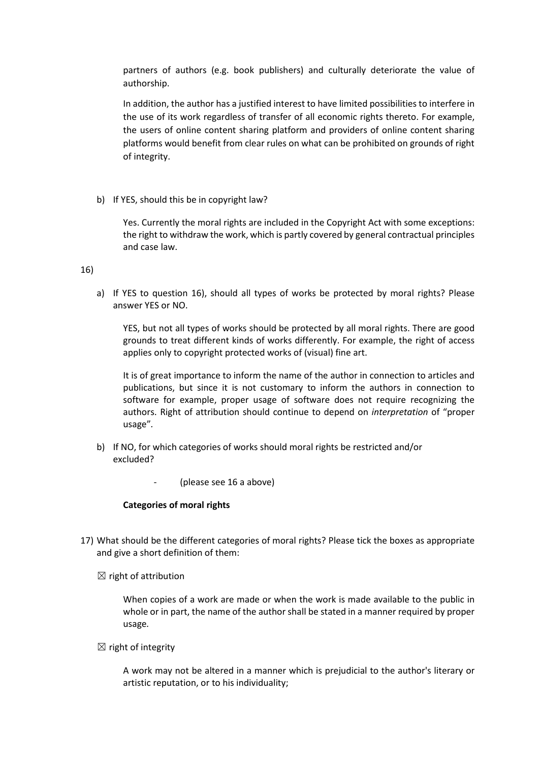partners of authors (e.g. book publishers) and culturally deteriorate the value of authorship.

In addition, the author has a justified interest to have limited possibilities to interfere in the use of its work regardless of transfer of all economic rights thereto. For example, the users of online content sharing platform and providers of online content sharing platforms would benefit from clear rules on what can be prohibited on grounds of right of integrity.

b) If YES, should this be in copyright law?

Yes. Currently the moral rights are included in the Copyright Act with some exceptions: the right to withdraw the work, which is partly covered by general contractual principles and case law.

16)

a) If YES to question 16), should all types of works be protected by moral rights? Please answer YES or NO.

YES, but not all types of works should be protected by all moral rights. There are good grounds to treat different kinds of works differently. For example, the right of access applies only to copyright protected works of (visual) fine art.

It is of great importance to inform the name of the author in connection to articles and publications, but since it is not customary to inform the authors in connection to software for example, proper usage of software does not require recognizing the authors. Right of attribution should continue to depend on *interpretation* of "proper usage"*.*

- b) If NO, for which categories of works should moral rights be restricted and/or excluded?
	- (please see 16 a above)

# **Categories of moral rights**

- 17) What should be the different categories of moral rights? Please tick the boxes as appropriate and give a short definition of them:
	- $\boxtimes$  right of attribution

When copies of a work are made or when the work is made available to the public in whole or in part, the name of the author shall be stated in a manner required by proper usage*.*

 $\boxtimes$  right of integrity

A work may not be altered in a manner which is prejudicial to the author's literary or artistic reputation, or to his individuality;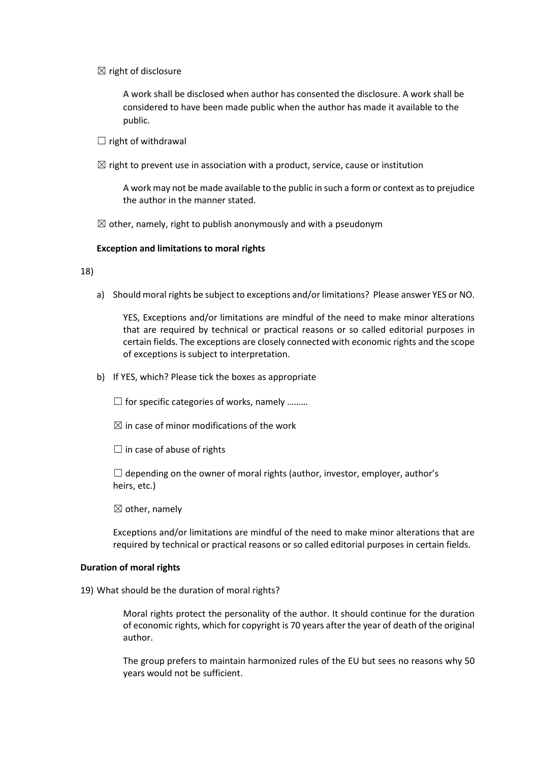$\boxtimes$  right of disclosure

A work shall be disclosed when author has consented the disclosure. A work shall be considered to have been made public when the author has made it available to the public.

- $\Box$  right of withdrawal
- $\boxtimes$  right to prevent use in association with a product, service, cause or institution

A work may not be made available to the public in such a form or context as to prejudice the author in the manner stated.

 $\boxtimes$  other, namely, right to publish anonymously and with a pseudonym

#### **Exception and limitations to moral rights**

18)

a) Should moral rights be subject to exceptions and/or limitations? Please answer YES or NO.

YES, Exceptions and/or limitations are mindful of the need to make minor alterations that are required by technical or practical reasons or so called editorial purposes in certain fields. The exceptions are closely connected with economic rights and the scope of exceptions is subject to interpretation.

b) If YES, which? Please tick the boxes as appropriate

 $\Box$  for specific categories of works, namely ........

 $\boxtimes$  in case of minor modifications of the work

 $\Box$  in case of abuse of rights

 $\Box$  depending on the owner of moral rights (author, investor, employer, author's heirs, etc.)

 $\boxtimes$  other, namely

Exceptions and/or limitations are mindful of the need to make minor alterations that are required by technical or practical reasons or so called editorial purposes in certain fields.

#### **Duration of moral rights**

19) What should be the duration of moral rights?

Moral rights protect the personality of the author. It should continue for the duration of economic rights, which for copyright is 70 years after the year of death of the original author.

The group prefers to maintain harmonized rules of the EU but sees no reasons why 50 years would not be sufficient.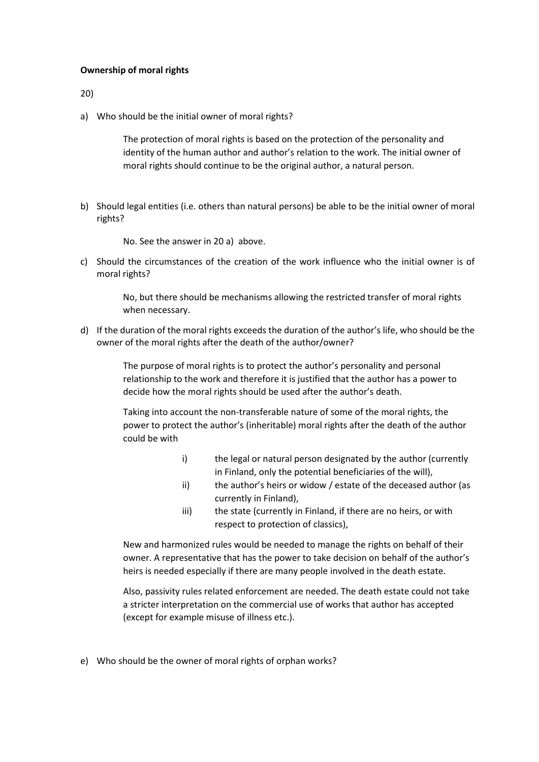# **Ownership of moral rights**

20)

a) Who should be the initial owner of moral rights?

The protection of moral rights is based on the protection of the personality and identity of the human author and author's relation to the work. The initial owner of moral rights should continue to be the original author, a natural person.

b) Should legal entities (i.e. others than natural persons) be able to be the initial owner of moral rights?

No. See the answer in 20 a) above.

c) Should the circumstances of the creation of the work influence who the initial owner is of moral rights?

> No, but there should be mechanisms allowing the restricted transfer of moral rights when necessary.

d) If the duration of the moral rights exceeds the duration of the author's life, who should be the owner of the moral rights after the death of the author/owner?

> The purpose of moral rights is to protect the author's personality and personal relationship to the work and therefore it is justified that the author has a power to decide how the moral rights should be used after the author's death.

Taking into account the non-transferable nature of some of the moral rights, the power to protect the author's (inheritable) moral rights after the death of the author could be with

- i) the legal or natural person designated by the author (currently in Finland, only the potential beneficiaries of the will),
- ii) the author's heirs or widow / estate of the deceased author (as currently in Finland),
- iii) the state (currently in Finland, if there are no heirs, or with respect to protection of classics),

New and harmonized rules would be needed to manage the rights on behalf of their owner. A representative that has the power to take decision on behalf of the author's heirs is needed especially if there are many people involved in the death estate.

Also, passivity rules related enforcement are needed. The death estate could not take a stricter interpretation on the commercial use of works that author has accepted (except for example misuse of illness etc.).

e) Who should be the owner of moral rights of orphan works?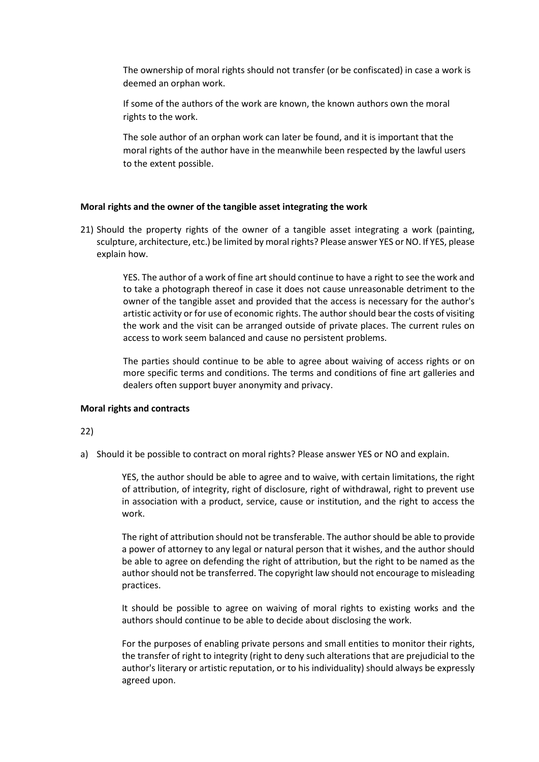The ownership of moral rights should not transfer (or be confiscated) in case a work is deemed an orphan work.

If some of the authors of the work are known, the known authors own the moral rights to the work.

The sole author of an orphan work can later be found, and it is important that the moral rights of the author have in the meanwhile been respected by the lawful users to the extent possible.

#### **Moral rights and the owner of the tangible asset integrating the work**

21) Should the property rights of the owner of a tangible asset integrating a work (painting, sculpture, architecture, etc.) be limited by moral rights? Please answer YES or NO. If YES, please explain how.

> YES. The author of a work of fine art should continue to have a right to see the work and to take a photograph thereof in case it does not cause unreasonable detriment to the owner of the tangible asset and provided that the access is necessary for the author's artistic activity or for use of economic rights. The author should bear the costs of visiting the work and the visit can be arranged outside of private places. The current rules on access to work seem balanced and cause no persistent problems.

> The parties should continue to be able to agree about waiving of access rights or on more specific terms and conditions. The terms and conditions of fine art galleries and dealers often support buyer anonymity and privacy.

#### **Moral rights and contracts**

#### 22)

a) Should it be possible to contract on moral rights? Please answer YES or NO and explain.

YES, the author should be able to agree and to waive, with certain limitations, the right of attribution, of integrity, right of disclosure, right of withdrawal, right to prevent use in association with a product, service, cause or institution, and the right to access the work.

The right of attribution should not be transferable. The author should be able to provide a power of attorney to any legal or natural person that it wishes, and the author should be able to agree on defending the right of attribution, but the right to be named as the author should not be transferred. The copyright law should not encourage to misleading practices.

It should be possible to agree on waiving of moral rights to existing works and the authors should continue to be able to decide about disclosing the work.

For the purposes of enabling private persons and small entities to monitor their rights, the transfer of right to integrity (right to deny such alterations that are prejudicial to the author's literary or artistic reputation, or to his individuality) should always be expressly agreed upon.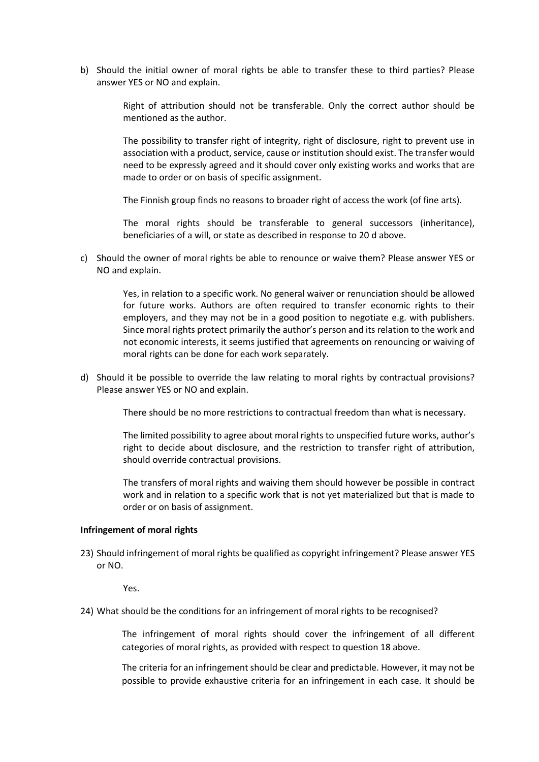b) Should the initial owner of moral rights be able to transfer these to third parties? Please answer YES or NO and explain.

> Right of attribution should not be transferable. Only the correct author should be mentioned as the author.

> The possibility to transfer right of integrity, right of disclosure, right to prevent use in association with a product, service, cause or institution should exist. The transfer would need to be expressly agreed and it should cover only existing works and works that are made to order or on basis of specific assignment.

The Finnish group finds no reasons to broader right of access the work (of fine arts).

The moral rights should be transferable to general successors (inheritance), beneficiaries of a will, or state as described in response to 20 d above.

c) Should the owner of moral rights be able to renounce or waive them? Please answer YES or NO and explain.

> Yes, in relation to a specific work. No general waiver or renunciation should be allowed for future works. Authors are often required to transfer economic rights to their employers, and they may not be in a good position to negotiate e.g. with publishers. Since moral rights protect primarily the author's person and its relation to the work and not economic interests, it seems justified that agreements on renouncing or waiving of moral rights can be done for each work separately.

d) Should it be possible to override the law relating to moral rights by contractual provisions? Please answer YES or NO and explain.

There should be no more restrictions to contractual freedom than what is necessary.

The limited possibility to agree about moral rights to unspecified future works, author's right to decide about disclosure, and the restriction to transfer right of attribution, should override contractual provisions.

The transfers of moral rights and waiving them should however be possible in contract work and in relation to a specific work that is not yet materialized but that is made to order or on basis of assignment.

#### **Infringement of moral rights**

23) Should infringement of moral rights be qualified as copyright infringement? Please answer YES or NO.

Yes.

24) What should be the conditions for an infringement of moral rights to be recognised?

The infringement of moral rights should cover the infringement of all different categories of moral rights, as provided with respect to question 18 above.

The criteria for an infringement should be clear and predictable. However, it may not be possible to provide exhaustive criteria for an infringement in each case. It should be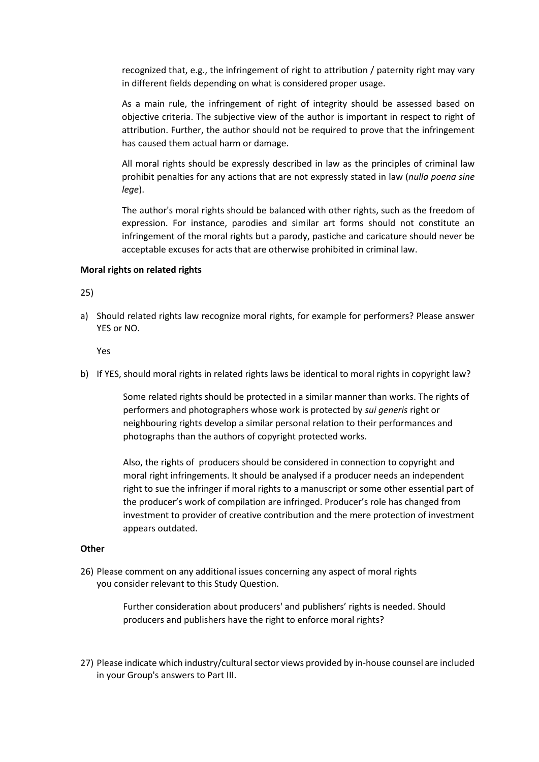recognized that, e.g., the infringement of right to attribution / paternity right may vary in different fields depending on what is considered proper usage.

As a main rule, the infringement of right of integrity should be assessed based on objective criteria. The subjective view of the author is important in respect to right of attribution. Further, the author should not be required to prove that the infringement has caused them actual harm or damage.

All moral rights should be expressly described in law as the principles of criminal law prohibit penalties for any actions that are not expressly stated in law (*nulla poena sine lege*).

The author's moral rights should be balanced with other rights, such as the freedom of expression. For instance, parodies and similar art forms should not constitute an infringement of the moral rights but a parody, pastiche and caricature should never be acceptable excuses for acts that are otherwise prohibited in criminal law.

#### **Moral rights on related rights**

25)

a) Should related rights law recognize moral rights, for example for performers? Please answer YES or NO.

Yes

b) If YES, should moral rights in related rights laws be identical to moral rights in copyright law?

Some related rights should be protected in a similar manner than works. The rights of performers and photographers whose work is protected by *sui generis* right or neighbouring rights develop a similar personal relation to their performances and photographs than the authors of copyright protected works.

Also, the rights of producers should be considered in connection to copyright and moral right infringements. It should be analysed if a producer needs an independent right to sue the infringer if moral rights to a manuscript or some other essential part of the producer's work of compilation are infringed. Producer's role has changed from investment to provider of creative contribution and the mere protection of investment appears outdated.

#### **Other**

26) Please comment on any additional issues concerning any aspect of moral rights you consider relevant to this Study Question.

> Further consideration about producers' and publishers' rights is needed. Should producers and publishers have the right to enforce moral rights?

27) Please indicate which industry/cultural sector views provided by in-house counsel are included in your Group's answers to Part III.